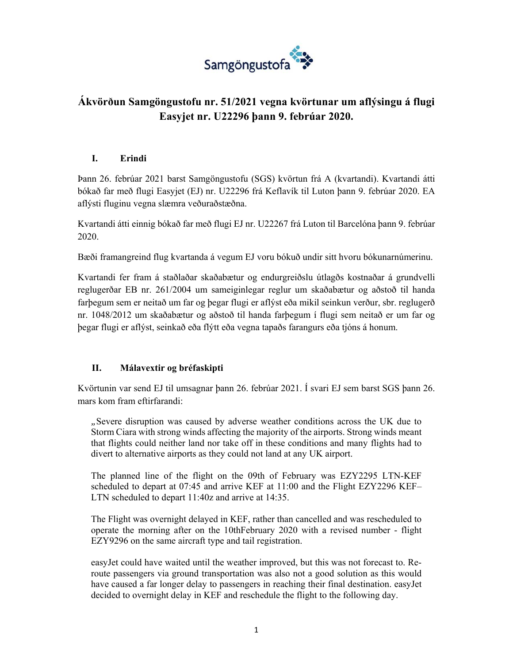

# **Ákvörðun Samgöngustofu nr. 51/2021 vegna kvörtunar um aflýsingu á flugi Easyjet nr. U22296 þann 9. febrúar 2020.**

#### **I. Erindi**

Þann 26. febrúar 2021 barst Samgöngustofu (SGS) kvörtun frá A (kvartandi). Kvartandi átti bókað far með flugi Easyjet (EJ) nr. U22296 frá Keflavík til Luton þann 9. febrúar 2020. EA aflýsti fluginu vegna slæmra veðuraðstæðna.

Kvartandi átti einnig bókað far með flugi EJ nr. U22267 frá Luton til Barcelóna þann 9. febrúar 2020.

Bæði framangreind flug kvartanda á vegum EJ voru bókuð undir sitt hvoru bókunarnúmerinu.

Kvartandi fer fram á staðlaðar skaðabætur og endurgreiðslu útlagðs kostnaðar á grundvelli reglugerðar EB nr. 261/2004 um sameiginlegar reglur um skaðabætur og aðstoð til handa farþegum sem er neitað um far og þegar flugi er aflýst eða mikil seinkun verður, sbr. reglugerð nr. 1048/2012 um skaðabætur og aðstoð til handa farþegum í flugi sem neitað er um far og þegar flugi er aflýst, seinkað eða flýtt eða vegna tapaðs farangurs eða tjóns á honum.

### **II. Málavextir og bréfaskipti**

Kvörtunin var send EJ til umsagnar þann 26. febrúar 2021. Í svari EJ sem barst SGS þann 26. mars kom fram eftirfarandi:

*"*Severe disruption was caused by adverse weather conditions across the UK due to Storm Ciara with strong winds affecting the majority of the airports. Strong winds meant that flights could neither land nor take off in these conditions and many flights had to divert to alternative airports as they could not land at any UK airport.

The planned line of the flight on the 09th of February was EZY2295 LTN-KEF scheduled to depart at 07:45 and arrive KEF at 11:00 and the Flight EZY2296 KEF– LTN scheduled to depart 11:40z and arrive at 14:35.

The Flight was overnight delayed in KEF, rather than cancelled and was rescheduled to operate the morning after on the 10thFebruary 2020 with a revised number - flight EZY9296 on the same aircraft type and tail registration.

easyJet could have waited until the weather improved, but this was not forecast to. Reroute passengers via ground transportation was also not a good solution as this would have caused a far longer delay to passengers in reaching their final destination. easyJet decided to overnight delay in KEF and reschedule the flight to the following day.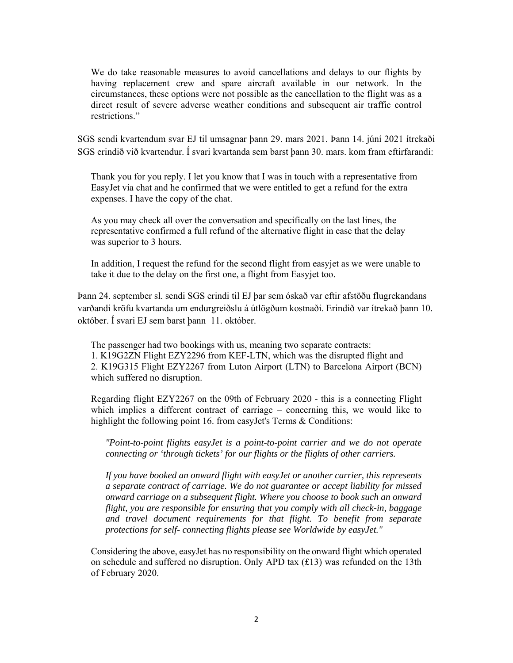We do take reasonable measures to avoid cancellations and delays to our flights by having replacement crew and spare aircraft available in our network. In the circumstances, these options were not possible as the cancellation to the flight was as a direct result of severe adverse weather conditions and subsequent air traffic control restrictions."

SGS sendi kvartendum svar EJ til umsagnar þann 29. mars 2021. Þann 14. júní 2021 ítrekaði SGS erindið við kvartendur. Í svari kvartanda sem barst þann 30. mars. kom fram eftirfarandi:

Thank you for you reply. I let you know that I was in touch with a representative from EasyJet via chat and he confirmed that we were entitled to get a refund for the extra expenses. I have the copy of the chat.

As you may check all over the conversation and specifically on the last lines, the representative confirmed a full refund of the alternative flight in case that the delay was superior to 3 hours.

In addition, I request the refund for the second flight from easyjet as we were unable to take it due to the delay on the first one, a flight from Easyjet too.

Þann 24. september sl. sendi SGS erindi til EJ þar sem óskað var eftir afstöðu flugrekandans varðandi kröfu kvartanda um endurgreiðslu á útlögðum kostnaði. Erindið var ítrekað þann 10. október. Í svari EJ sem barst þann 11. október.

The passenger had two bookings with us, meaning two separate contracts: 1. K19G2ZN Flight EZY2296 from KEF-LTN, which was the disrupted flight and 2. K19G315 Flight EZY2267 from Luton Airport (LTN) to Barcelona Airport (BCN) which suffered no disruption.

Regarding flight EZY2267 on the 09th of February 2020 - this is a connecting Flight which implies a different contract of carriage – concerning this, we would like to highlight the following point 16. from easyJet's Terms & Conditions:

 *"Point-to-point flights easyJet is a point-to-point carrier and we do not operate connecting or 'through tickets' for our flights or the flights of other carriers.* 

 *If you have booked an onward flight with easyJet or another carrier, this represents a separate contract of carriage. We do not guarantee or accept liability for missed onward carriage on a subsequent flight. Where you choose to book such an onward flight, you are responsible for ensuring that you comply with all check-in, baggage and travel document requirements for that flight. To benefit from separate protections for self- connecting flights please see Worldwide by easyJet."* 

Considering the above, easyJet has no responsibility on the onward flight which operated on schedule and suffered no disruption. Only APD tax (£13) was refunded on the 13th of February 2020.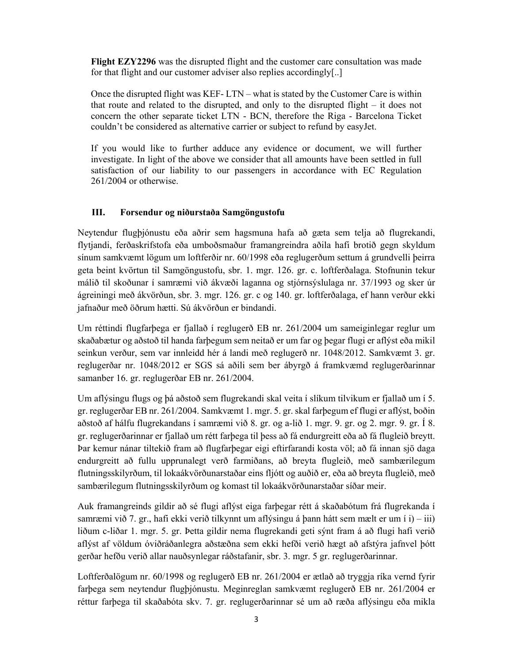**Flight EZY2296** was the disrupted flight and the customer care consultation was made for that flight and our customer adviser also replies accordingly[..]

Once the disrupted flight was KEF- LTN – what is stated by the Customer Care is within that route and related to the disrupted, and only to the disrupted flight – it does not concern the other separate ticket LTN - BCN, therefore the Riga - Barcelona Ticket couldn't be considered as alternative carrier or subject to refund by easyJet.

If you would like to further adduce any evidence or document, we will further investigate. In light of the above we consider that all amounts have been settled in full satisfaction of our liability to our passengers in accordance with EC Regulation 261/2004 or otherwise.

#### **III. Forsendur og niðurstaða Samgöngustofu**

Neytendur flugþjónustu eða aðrir sem hagsmuna hafa að gæta sem telja að flugrekandi, flytjandi, ferðaskrifstofa eða umboðsmaður framangreindra aðila hafi brotið gegn skyldum sínum samkvæmt lögum um loftferðir nr. 60/1998 eða reglugerðum settum á grundvelli þeirra geta beint kvörtun til Samgöngustofu, sbr. 1. mgr. 126. gr. c. loftferðalaga. Stofnunin tekur málið til skoðunar í samræmi við ákvæði laganna og stjórnsýslulaga nr. 37/1993 og sker úr ágreiningi með ákvörðun, sbr. 3. mgr. 126. gr. c og 140. gr. loftferðalaga, ef hann verður ekki jafnaður með öðrum hætti. Sú ákvörðun er bindandi.

Um réttindi flugfarþega er fjallað í reglugerð EB nr. 261/2004 um sameiginlegar reglur um skaðabætur og aðstoð til handa farþegum sem neitað er um far og þegar flugi er aflýst eða mikil seinkun verður, sem var innleidd hér á landi með reglugerð nr. 1048/2012. Samkvæmt 3. gr. reglugerðar nr. 1048/2012 er SGS sá aðili sem ber ábyrgð á framkvæmd reglugerðarinnar samanber 16. gr. reglugerðar EB nr. 261/2004.

Um aflýsingu flugs og þá aðstoð sem flugrekandi skal veita í slíkum tilvikum er fjallað um í 5. gr. reglugerðar EB nr. 261/2004. Samkvæmt 1. mgr. 5. gr. skal farþegum ef flugi er aflýst, boðin aðstoð af hálfu flugrekandans í samræmi við 8. gr. og a-lið 1. mgr. 9. gr. og 2. mgr. 9. gr. Í 8. gr. reglugerðarinnar er fjallað um rétt farþega til þess að fá endurgreitt eða að fá flugleið breytt. Þar kemur nánar tiltekið fram að flugfarþegar eigi eftirfarandi kosta völ; að fá innan sjö daga endurgreitt að fullu upprunalegt verð farmiðans, að breyta flugleið, með sambærilegum flutningsskilyrðum, til lokaákvörðunarstaðar eins fljótt og auðið er, eða að breyta flugleið, með sambærilegum flutningsskilyrðum og komast til lokaákvörðunarstaðar síðar meir.

Auk framangreinds gildir að sé flugi aflýst eiga farþegar rétt á skaðabótum frá flugrekanda í samræmi við 7. gr., hafi ekki verið tilkynnt um aflýsingu á þann hátt sem mælt er um í i) – iii) liðum c-liðar 1. mgr. 5. gr. Þetta gildir nema flugrekandi geti sýnt fram á að flugi hafi verið aflýst af völdum óviðráðanlegra aðstæðna sem ekki hefði verið hægt að afstýra jafnvel þótt gerðar hefðu verið allar nauðsynlegar ráðstafanir, sbr. 3. mgr. 5 gr. reglugerðarinnar.

Loftferðalögum nr. 60/1998 og reglugerð EB nr. 261/2004 er ætlað að tryggja ríka vernd fyrir farþega sem neytendur flugþjónustu. Meginreglan samkvæmt reglugerð EB nr. 261/2004 er réttur farþega til skaðabóta skv. 7. gr. reglugerðarinnar sé um að ræða aflýsingu eða mikla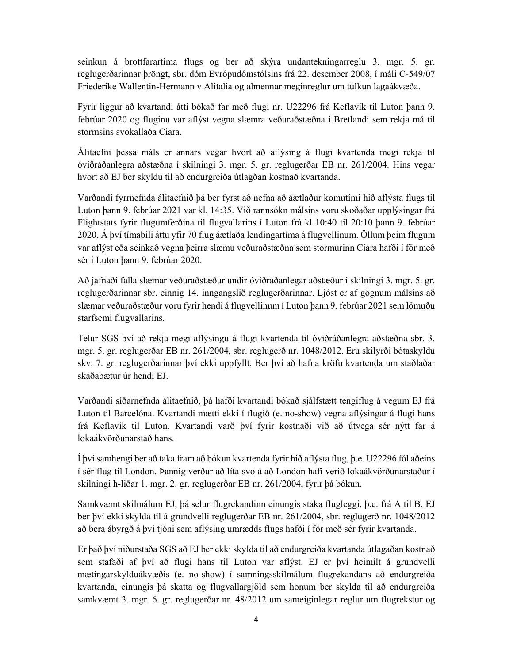seinkun á brottfarartíma flugs og ber að skýra undantekningarreglu 3. mgr. 5. gr. reglugerðarinnar þröngt, sbr. dóm Evrópudómstólsins frá 22. desember 2008, í máli C-549/07 Friederike Wallentin-Hermann v Alitalia og almennar meginreglur um túlkun lagaákvæða.

Fyrir liggur að kvartandi átti bókað far með flugi nr. U22296 frá Keflavík til Luton þann 9. febrúar 2020 og fluginu var aflýst vegna slæmra veðuraðstæðna í Bretlandi sem rekja má til stormsins svokallaða Ciara.

Álitaefni þessa máls er annars vegar hvort að aflýsing á flugi kvartenda megi rekja til óviðráðanlegra aðstæðna í skilningi 3. mgr. 5. gr. reglugerðar EB nr. 261/2004. Hins vegar hvort að EJ ber skyldu til að endurgreiða útlagðan kostnað kvartanda.

Varðandi fyrrnefnda álitaefnið þá ber fyrst að nefna að áætlaður komutími hið aflýsta flugs til Luton þann 9. febrúar 2021 var kl. 14:35. Við rannsókn málsins voru skoðaðar upplýsingar frá Flightstats fyrir flugumferðina til flugvallarins í Luton frá kl 10:40 til 20:10 þann 9. febrúar 2020. Á því tímabili áttu yfir 70 flug áætlaða lendingartíma á flugvellinum. Öllum þeim flugum var aflýst eða seinkað vegna þeirra slæmu veðuraðstæðna sem stormurinn Ciara hafði í för með sér í Luton þann 9. febrúar 2020.

Að jafnaði falla slæmar veðuraðstæður undir óviðráðanlegar aðstæður í skilningi 3. mgr. 5. gr. reglugerðarinnar sbr. einnig 14. inngangslið reglugerðarinnar. Ljóst er af gögnum málsins að slæmar veðuraðstæður voru fyrir hendi á flugvellinum í Luton þann 9. febrúar 2021 sem lömuðu starfsemi flugvallarins.

Telur SGS því að rekja megi aflýsingu á flugi kvartenda til óviðráðanlegra aðstæðna sbr. 3. mgr. 5. gr. reglugerðar EB nr. 261/2004, sbr. reglugerð nr. 1048/2012. Eru skilyrði bótaskyldu skv. 7. gr. reglugerðarinnar því ekki uppfyllt. Ber því að hafna kröfu kvartenda um staðlaðar skaðabætur úr hendi EJ.

Varðandi síðarnefnda álitaefnið, þá hafði kvartandi bókað sjálfstætt tengiflug á vegum EJ frá Luton til Barcelóna. Kvartandi mætti ekki í flugið (e. no-show) vegna aflýsingar á flugi hans frá Keflavík til Luton. Kvartandi varð því fyrir kostnaði við að útvega sér nýtt far á lokaákvörðunarstað hans.

Í því samhengi ber að taka fram að bókun kvartenda fyrir hið aflýsta flug, þ.e. U22296 fól aðeins í sér flug til London. Þannig verður að líta svo á að London hafi verið lokaákvörðunarstaður í skilningi h‐liðar 1. mgr. 2. gr. reglugerðar EB nr. 261/2004, fyrir þá bókun.

Samkvæmt skilmálum EJ, þá selur flugrekandinn einungis staka flugleggi, þ.e. frá A til B. EJ ber því ekki skylda til á grundvelli reglugerðar EB nr. 261/2004, sbr. reglugerð nr. 1048/2012 að bera ábyrgð á því tjóni sem aflýsing umrædds flugs hafði í för með sér fyrir kvartanda.

Er það því niðurstaða SGS að EJ ber ekki skylda til að endurgreiða kvartanda útlagaðan kostnað sem stafaði af því að flugi hans til Luton var aflýst. EJ er því heimilt á grundvelli mætingarskylduákvæðis (e. no-show) í samningsskilmálum flugrekandans að endurgreiða kvartanda, einungis þá skatta og flugvallargjöld sem honum ber skylda til að endurgreiða samkvæmt 3. mgr. 6. gr. reglugerðar nr. 48/2012 um sameiginlegar reglur um flugrekstur og